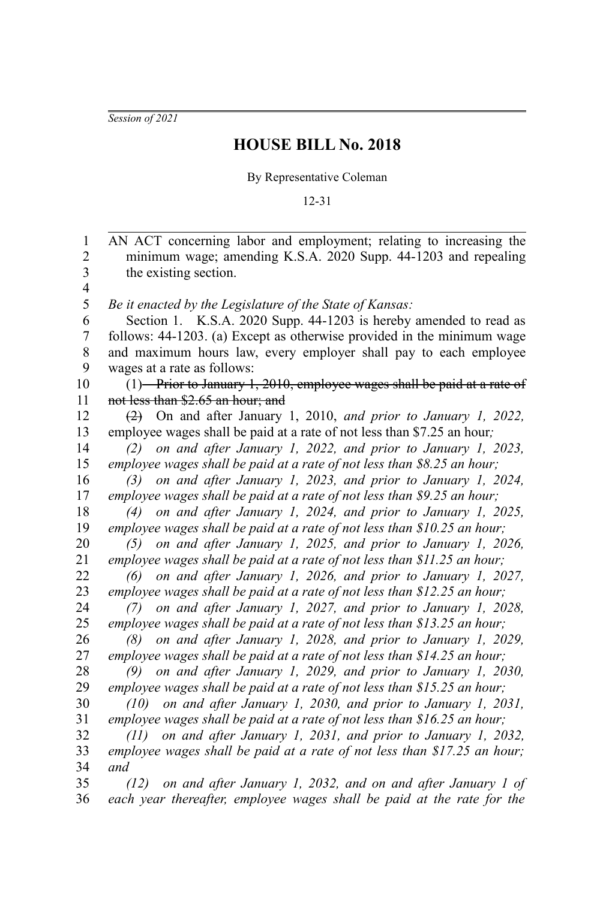*Session of 2021*

## **HOUSE BILL No. 2018**

By Representative Coleman

## 12-31

AN ACT concerning labor and employment; relating to increasing the minimum wage; amending K.S.A. 2020 Supp. 44-1203 and repealing the existing section. *Be it enacted by the Legislature of the State of Kansas:* Section 1. K.S.A. 2020 Supp. 44-1203 is hereby amended to read as follows: 44-1203. (a) Except as otherwise provided in the minimum wage and maximum hours law, every employer shall pay to each employee wages at a rate as follows:  $(1)$ —Prior to January 1, 2010, employee wages shall be paid at a rate of not less than \$2.65 an hour; and (2) On and after January 1, 2010, *and prior to January 1, 2022,* employee wages shall be paid at a rate of not less than \$7.25 an hour*; (2) on and after January 1, 2022, and prior to January 1, 2023, employee wages shall be paid at a rate of not less than \$8.25 an hour; (3) on and after January 1, 2023, and prior to January 1, 2024, employee wages shall be paid at a rate of not less than \$9.25 an hour; (4) on and after January 1, 2024, and prior to January 1, 2025, employee wages shall be paid at a rate of not less than \$10.25 an hour; (5) on and after January 1, 2025, and prior to January 1, 2026, employee wages shall be paid at a rate of not less than \$11.25 an hour; (6) on and after January 1, 2026, and prior to January 1, 2027, employee wages shall be paid at a rate of not less than \$12.25 an hour; (7) on and after January 1, 2027, and prior to January 1, 2028, employee wages shall be paid at a rate of not less than \$13.25 an hour; (8) on and after January 1, 2028, and prior to January 1, 2029, employee wages shall be paid at a rate of not less than \$14.25 an hour; (9) on and after January 1, 2029, and prior to January 1, 2030, employee wages shall be paid at a rate of not less than \$15.25 an hour; (10) on and after January 1, 2030, and prior to January 1, 2031, employee wages shall be paid at a rate of not less than \$16.25 an hour; (11) on and after January 1, 2031, and prior to January 1, 2032, employee wages shall be paid at a rate of not less than \$17.25 an hour; and (12) on and after January 1, 2032, and on and after January 1 of each year thereafter, employee wages shall be paid at the rate for the* 1 2 3 4 5 6 7 8 9 10 11 12 13 14 15 16 17 18 19 20 21 22 23 24 25 26 27 28 29 30 31 32 33 34 35 36